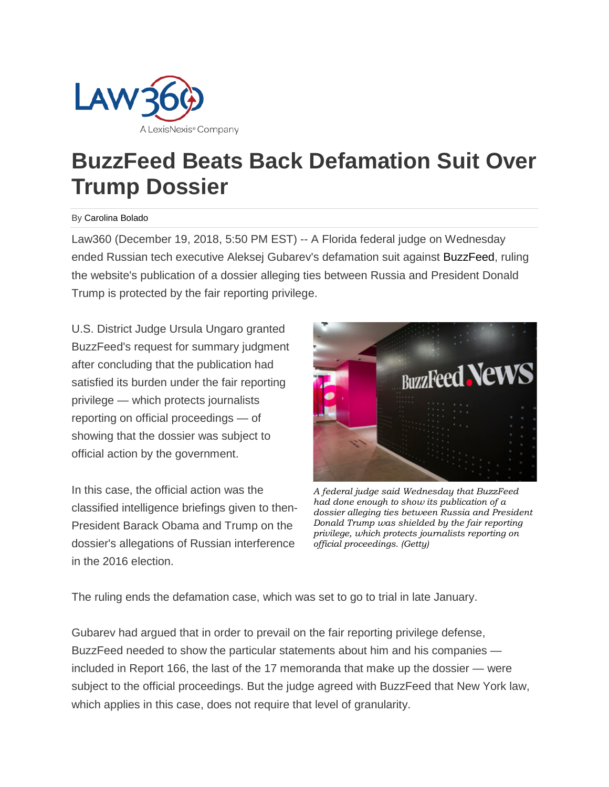

## **BuzzFeed Beats Back Defamation Suit Over Trump Dossier**

## By Carolina Bolado

Law360 (December 19, 2018, 5:50 PM EST) -- A Florida federal judge on Wednesday ended Russian tech executive Aleksej Gubarev's defamation suit against BuzzFeed, ruling the website's publication of a dossier alleging ties between Russia and President Donald Trump is protected by the fair reporting privilege.

U.S. District Judge Ursula Ungaro granted BuzzFeed's request for summary judgment after concluding that the publication had satisfied its burden under the fair reporting privilege — which protects journalists reporting on official proceedings — of showing that the dossier was subject to official action by the government.

In this case, the official action was the classified intelligence briefings given to then-President Barack Obama and Trump on the dossier's allegations of Russian interference in the 2016 election.



*A federal judge said Wednesday that BuzzFeed had done enough to show its publication of a dossier alleging ties between Russia and President Donald Trump was shielded by the fair reporting privilege, which protects journalists reporting on official proceedings. (Getty)*

The ruling ends the defamation case, which was set to go to trial in late January.

Gubarev had argued that in order to prevail on the fair reporting privilege defense, BuzzFeed needed to show the particular statements about him and his companies included in Report 166, the last of the 17 memoranda that make up the dossier — were subject to the official proceedings. But the judge agreed with BuzzFeed that New York law, which applies in this case, does not require that level of granularity.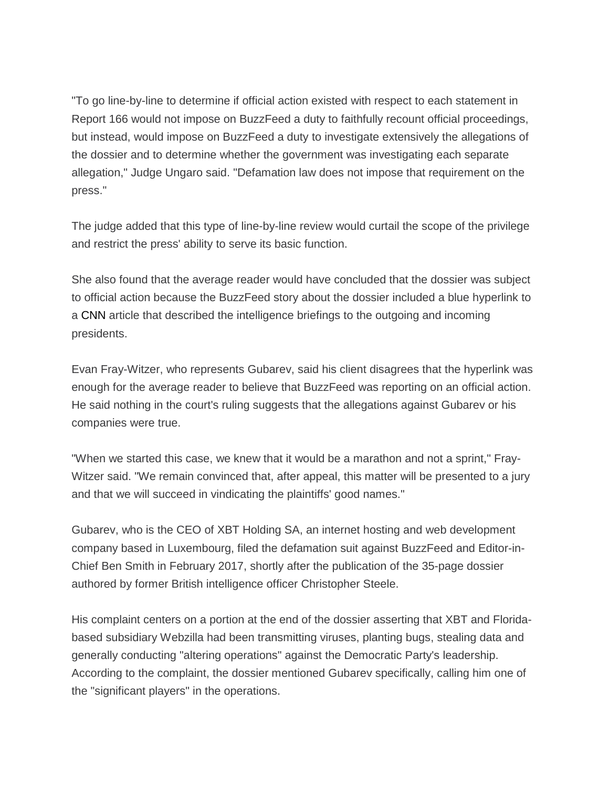"To go line-by-line to determine if official action existed with respect to each statement in Report 166 would not impose on BuzzFeed a duty to faithfully recount official proceedings, but instead, would impose on BuzzFeed a duty to investigate extensively the allegations of the dossier and to determine whether the government was investigating each separate allegation," Judge Ungaro said. "Defamation law does not impose that requirement on the press."

The judge added that this type of line-by-line review would curtail the scope of the privilege and restrict the press' ability to serve its basic function.

She also found that the average reader would have concluded that the dossier was subject to official action because the BuzzFeed story about the dossier included a blue hyperlink to a CNN article that described the intelligence briefings to the outgoing and incoming presidents.

Evan Fray-Witzer, who represents Gubarev, said his client disagrees that the hyperlink was enough for the average reader to believe that BuzzFeed was reporting on an official action. He said nothing in the court's ruling suggests that the allegations against Gubarev or his companies were true.

"When we started this case, we knew that it would be a marathon and not a sprint," Fray-Witzer said. "We remain convinced that, after appeal, this matter will be presented to a jury and that we will succeed in vindicating the plaintiffs' good names."

Gubarev, who is the CEO of XBT Holding SA, an internet hosting and web development company based in Luxembourg, filed the defamation suit against BuzzFeed and Editor-in-Chief Ben Smith in February 2017, shortly after the publication of the 35-page dossier authored by former British intelligence officer Christopher Steele.

His complaint centers on a portion at the end of the dossier asserting that XBT and Floridabased subsidiary Webzilla had been transmitting viruses, planting bugs, stealing data and generally conducting "altering operations" against the Democratic Party's leadership. According to the complaint, the dossier mentioned Gubarev specifically, calling him one of the "significant players" in the operations.